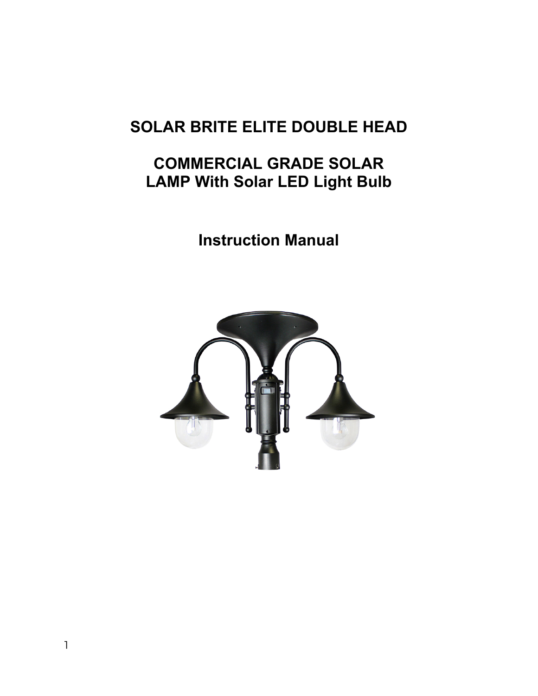# **SOLAR BRITE ELITE DOUBLE HEAD**

# **COMMERCIAL GRADE SOLAR LAMP With Solar LED Light Bulb**

**Instruction Manual** 

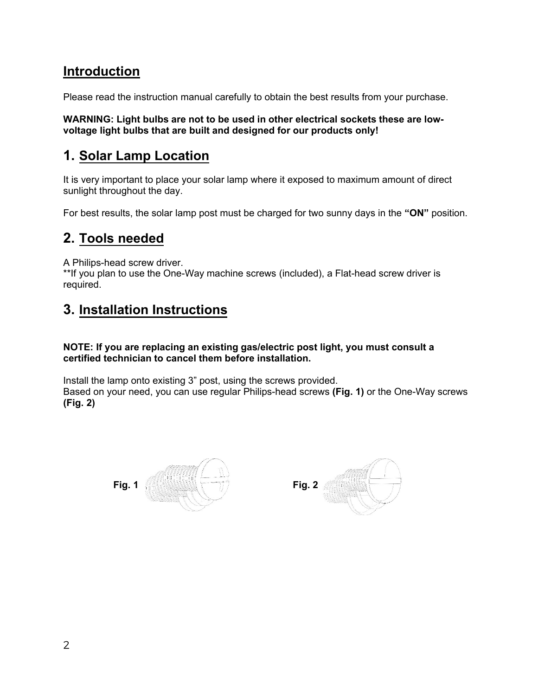## **Introduction**

Please read the instruction manual carefully to obtain the best results from your purchase.

**WARNING: Light bulbs are not to be used in other electrical sockets these are lowvoltage light bulbs that are built and designed for our products only!** 

## **1. Solar Lamp Location**

It is very important to place your solar lamp where it exposed to maximum amount of direct sunlight throughout the day.

For best results, the solar lamp post must be charged for two sunny days in the **"ON"** position.

## **2. [Tools needed](http://www.gamasonic.com/)**

A Philips-head screw driver.

\*\*If you plan to use the One-Way machine screws (included), a Flat-head screw driver is required.

## **3. Installation Instructions**

**NOTE: If you are replacing an existing gas/electric post light, you must consult a certified technician to cancel them before installation.** 

Install the lamp onto existing 3" post, using the screws provided. Based on your need, you can use regular Philips-head screws **(Fig. 1)** or the One-Way screws **(Fig. 2)**



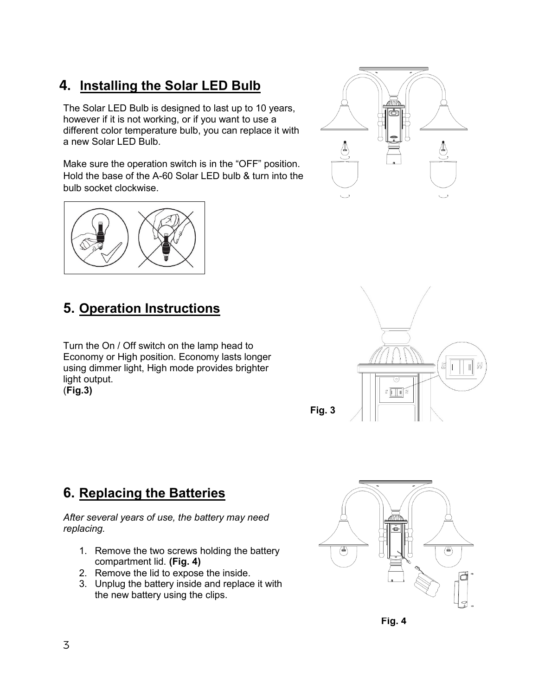# **4. Installing the Solar LED Bulb**

The Solar LED Bulb is designed to last up to 10 years, however if it is not working, or if you want to use a different color temperature bulb, you can replace it with a new Solar LED Bulb.

Make sure the operation switch is in the "OFF" position. Hold the base of the A-60 Solar LED bulb & turn into the bulb socket clockwise.



# **5. Operation Instructions**

Turn the On / Off switch on the lamp head to Economy or High position. Economy lasts longer using dimmer light, High mode provides brighter light output.

(**Fig.3)** 

# **6. Replacing the Batteries**

*After several years of use, the battery may need replacing.*

- 1. Remove the two screws holding the battery compartment lid. **(Fig. 4)**
- 2. Remove the lid to expose the inside.
- 3. Unplug the battery inside and replace it with the new battery using the clips.







**Fig. 4**